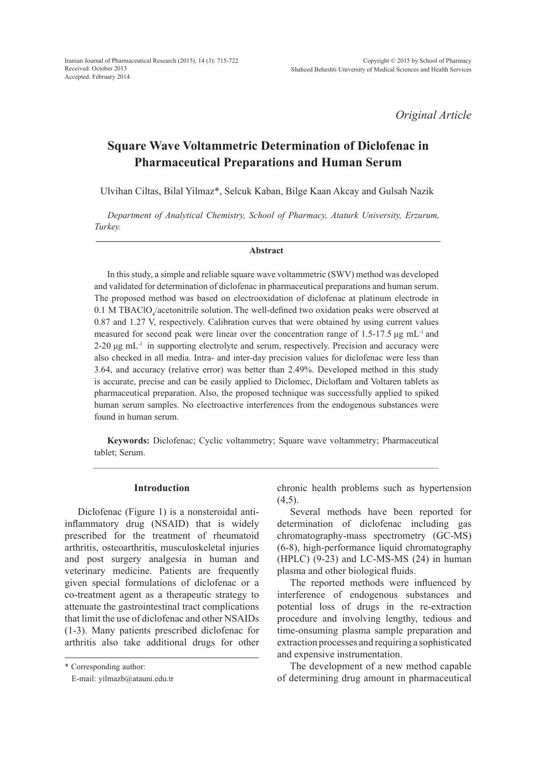*Original Article*

# **Square Wave Voltammetric Determination of Diclofenac in Pharmaceutical Preparations and Human Serum**

Ulvihan Ciltas, Bilal Yilmaz\*, Selcuk Kaban, Bilge Kaan Akcay and Gulsah Nazik

*Department of Analytical Chemistry, School of Pharmacy, Ataturk University, Erzurum, Turkey.*

#### **Abstract**

In this study, a simple and reliable square wave voltammetric (SWV) method was developed and validated for determination of diclofenac in pharmaceutical preparations and human serum. The proposed method was based on electrooxidation of diclofenac at platinum electrode in  $0.1$  M TBAClO<sub>4</sub>/acetonitrile solution. The well-defined two oxidation peaks were observed at 0.87 and 1.27 V, respectively. Calibration curves that were obtained by using current values measured for second peak were linear over the concentration range of 1.5-17.5  $\mu$ g mL<sup>-1</sup> and  $2-20 \mu g$  mL<sup>-1</sup> in supporting electrolyte and serum, respectively. Precision and accuracy were also checked in all media. Intra- and inter-day precision values for diclofenac were less than 3.64, and accuracy (relative error) was better than 2.49%. Developed method in this study is accurate, precise and can be easily applied to Diclomec, Dicloflam and Voltaren tablets as pharmaceutical preparation. Also, the proposed technique was successfully applied to spiked human serum samples. No electroactive interferences from the endogenous substances were found in human serum.

**Keywords:** Diclofenac; Cyclic voltammetry; Square wave voltammetry; Pharmaceutical tablet; Serum.

# **Introduction**

Diclofenac (Figure 1) is a nonsteroidal antiinflammatory drug (NSAID) that is widely prescribed for the treatment of rheumatoid arthritis, osteoarthritis, musculoskeletal injuries and post surgery analgesia in human and veterinary medicine. Patients are frequently given special formulations of diclofenac or a co-treatment agent as a therapeutic strategy to attenuate the gastrointestinal tract complications that limit the use of diclofenac and other NSAIDs (1-3). Many patients prescribed diclofenac for arthritis also take additional drugs for other chronic health problems such as hypertension  $(4,5)$ .

Several methods have been reported for determination of diclofenac including gas chromatography-mass spectrometry (GC-MS) (6-8), high-performance liquid chromatography  $(HPLC)$  (9-23) and LC-MS-MS (24) in human plasma and other biological fluids.

The reported methods were influenced by interference of endogenous substances and potential loss of drugs in the re-extraction procedure and involving lengthy, tedious and time-onsuming plasma sample preparation and extraction processes and requiring a sophisticated and expensive instrumentation.

The development of a new method capable of determining drug amount in pharmaceutical

<sup>\*</sup> Corresponding author:

E-mail: yilmazb@atauni.edu.tr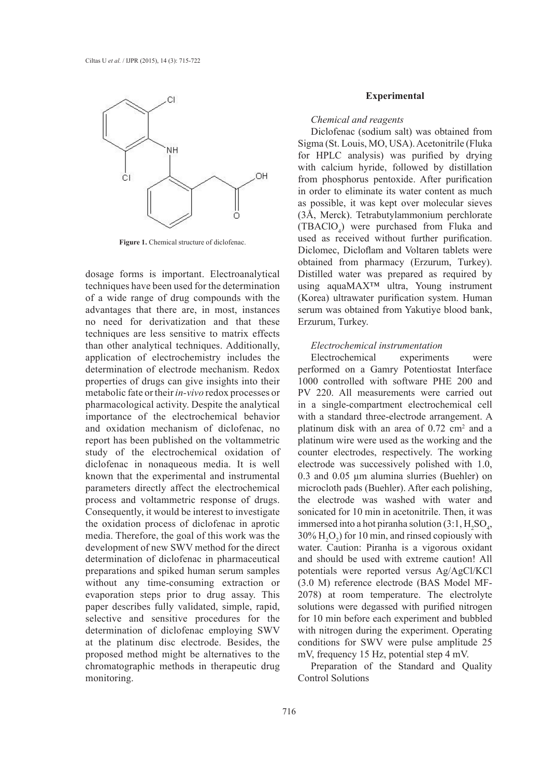

**Figure 1.** Chemical structure of diclofenac.

dosage forms is important. Electroanalytical techniques have been used for the determination of a wide range of drug compounds with the advantages that there are, in most, instances no need for derivatization and that these techniques are less sensitive to matrix effects than other analytical techniques. Additionally, application of electrochemistry includes the determination of electrode mechanism. Redox properties of drugs can give insights into their metabolic fate or their *in-vivo* redox processes or pharmacological activity. Despite the analytical importance of the electrochemical behavior and oxidation mechanism of diclofenac, no report has been published on the voltammetric study of the electrochemical oxidation of diclofenac in nonaqueous media. It is well known that the experimental and instrumental parameters directly affect the electrochemical process and voltammetric response of drugs. Consequently, it would be interest to investigate the oxidation process of diclofenac in aprotic media. Therefore, the goal of this work was the development of new SWV method for the direct determination of diclofenac in pharmaceutical preparations and spiked human serum samples without any time-consuming extraction or evaporation steps prior to drug assay. This paper describes fully validated, simple, rapid, selective and sensitive procedures for the determination of diclofenac employing SWV at the platinum disc electrode. Besides, the proposed method might be alternatives to the chromatographic methods in therapeutic drug monitoring.

## **Experimental**

## *Chemical and reagents*

Diclofenac (sodium salt) was obtained from Sigma (St. Louis, MO, USA). Acetonitrile (Fluka for HPLC analysis) was purified by drying with calcium hyride, followed by distillation from phosphorus pentoxide. After purification in order to eliminate its water content as much as possible, it was kept over molecular sieves (3Å, Merck). Tetrabutylammonium perchlorate  $(TBACIO<sub>4</sub>)$  were purchased from Fluka and used as received without further purification. Diclomec, Dicloflam and Voltaren tablets were obtained from pharmacy (Erzurum, Turkey). Distilled water was prepared as required by using aquaMAX™ ultra, Young instrument (Korea) ultrawater purification system. Human serum was obtained from Yakutiye blood bank, Erzurum, Turkey.

# *Electrochemical instrumentation*

Electrochemical experiments were performed on a Gamry Potentiostat Interface 1000 controlled with software PHE 200 and PV 220. All measurements were carried out in a single-compartment electrochemical cell with a standard three-electrode arrangement. A platinum disk with an area of  $0.72 \text{ cm}^2$  and a platinum wire were used as the working and the counter electrodes, respectively. The working electrode was successively polished with 1.0, 0.3 and 0.05 µm alumina slurries (Buehler) on microcloth pads (Buehler). After each polishing, the electrode was washed with water and sonicated for 10 min in acetonitrile. Then, it was immersed into a hot piranha solution  $(3.1, H_2SO_4)$ ,  $30\%$  H<sub>2</sub>O<sub>2</sub>) for 10 min, and rinsed copiously with water. Caution: Piranha is a vigorous oxidant and should be used with extreme caution! All potentials were reported versus Ag/AgCl/KCl (3.0 M) reference electrode (BAS Model MF-2078) at room temperature. The electrolyte solutions were degassed with purified nitrogen for 10 min before each experiment and bubbled with nitrogen during the experiment. Operating conditions for SWV were pulse amplitude 25 mV, frequency 15 Hz, potential step 4 mV.

Preparation of the Standard and Quality Control Solutions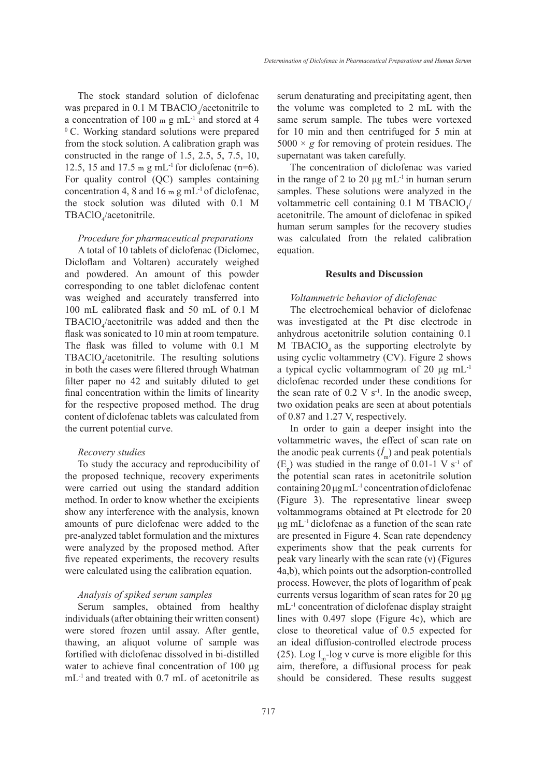The stock standard solution of diclofenac was prepared in 0.1 M TBAClO<sub>4</sub>/acetonitrile to a concentration of 100 m g mL<sup>-1</sup> and stored at 4  $\degree$  C. Working standard solutions were prepared from the stock solution. A calibration graph was constructed in the range of 1.5, 2.5, 5, 7.5, 10, 12.5, 15 and 17.5 m g mL<sup>-1</sup> for diclofenac (n=6). For quality control (QC) samples containing concentration 4, 8 and 16 m g mL<sup>-1</sup> of diclofenac, the stock solution was diluted with 0.1 M TBAClO<sub>4</sub>/acetonitrile.

# *Procedure for pharmaceutical preparations*

A total of 10 tablets of diclofenac (Diclomec, Dicloflam and Voltaren) accurately weighed and powdered. An amount of this powder corresponding to one tablet diclofenac content was weighed and accurately transferred into 100 mL calibrated flask and 50 mL of 0.1 M  $TBACIO<sub>4</sub>/acetonitrile was added and then the$ flask was sonicated to 10 min at room tempature. The flask was filled to volume with 0.1 M  $TBACIO<sub>4</sub>/acetonitrile.$  The resulting solutions in both the cases were filtered through Whatman filter paper no 42 and suitably diluted to get final concentration within the limits of linearity for the respective proposed method. The drug content of diclofenac tablets was calculated from the current potential curve.

#### *Recovery studies*

To study the accuracy and reproducibility of the proposed technique, recovery experiments were carried out using the standard addition method. In order to know whether the excipients show any interference with the analysis, known amounts of pure diclofenac were added to the pre-analyzed tablet formulation and the mixtures were analyzed by the proposed method. After five repeated experiments, the recovery results were calculated using the calibration equation.

## *Analysis of spiked serum samples*

Serum samples, obtained from healthy individuals (after obtaining their written consent) were stored frozen until assay. After gentle, thawing, an aliquot volume of sample was fortified with diclofenac dissolved in bi-distilled water to achieve final concentration of 100 μg mL-1 and treated with 0.7 mL of acetonitrile as serum denaturating and precipitating agent, then the volume was completed to 2 mL with the same serum sample. The tubes were vortexed for 10 min and then centrifuged for 5 min at  $5000 \times g$  for removing of protein residues. The supernatant was taken carefully.

The concentration of diclofenac was varied in the range of 2 to 20  $\mu$ g mL<sup>-1</sup> in human serum samples. These solutions were analyzed in the voltammetric cell containing  $0.1$  M TBAClO<sub>4</sub>/ acetonitrile. The amount of diclofenac in spiked human serum samples for the recovery studies was calculated from the related calibration equation.

#### **Results and Discussion**

# *Voltammetric behavior of diclofenac*

The electrochemical behavior of diclofenac was investigated at the Pt disc electrode in anhydrous acetonitrile solution containing 0.1 M TBAClO<sub>4</sub> as the supporting electrolyte by using cyclic voltammetry (CV). Figure 2 shows a typical cyclic voltammogram of 20 μg mL-1 diclofenac recorded under these conditions for the scan rate of  $0.2 \text{ V s}^{-1}$ . In the anodic sweep, two oxidation peaks are seen at about potentials of 0.87 and 1.27 V, respectively.

In order to gain a deeper insight into the voltammetric waves, the effect of scan rate on the anodic peak currents  $(\dot{I}_m)$  and peak potentials  $(E_p)$  was studied in the range of 0.01-1 V s<sup>-1</sup> of the potential scan rates in acetonitrile solution containing 20 μg mL-1 concentration of diclofenac (Figure 3). The representative linear sweep voltammograms obtained at Pt electrode for 20 μg mL<sup>-1</sup> diclofenac as a function of the scan rate are presented in Figure 4. Scan rate dependency experiments show that the peak currents for peak vary linearly with the scan rate (ν) (Figures 4a,b), which points out the adsorption-controlled process. However, the plots of logarithm of peak currents versus logarithm of scan rates for 20 μg mL-1 concentration of diclofenac display straight lines with 0.497 slope (Figure 4c), which are close to theoretical value of 0.5 expected for an ideal diffusion-controlled electrode process (25). Log I<sub>n</sub>-log v curve is more eligible for this aim, therefore, a diffusional process for peak should be considered. These results suggest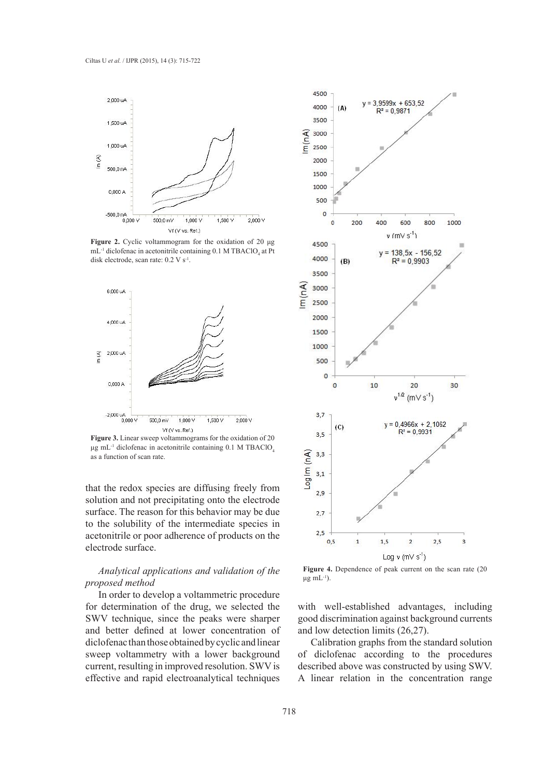

**Figure 2.** Cyclic voltammogram for the oxidation of 20 μg  $mL^{-1}$  diclofenac in acetonitrile containing 0.1 M TBAClO<sub>4</sub> at Pt disk electrode, scan rate: 0.2 V s<sup>-1</sup>.



**Figure 3.** Linear sweep voltammograms for the oxidation of 20 μg mL<sup>-1</sup> diclofenac in acetonitrile containing 0.1 M TBAClO<sub>4</sub> as a function of scan rate.

that the redox species are diffusing freely from solution and not precipitating onto the electrode surface. The reason for this behavior may be due to the solubility of the intermediate species in acetonitrile or poor adherence of products on the electrode surface.

# *Analytical applications and validation of the proposed method*

In order to develop a voltammetric procedure for determination of the drug, we selected the SWV technique, since the peaks were sharper and better defined at lower concentration of diclofenac than those obtained by cyclic and linear sweep voltammetry with a lower background current, resulting in improved resolution. SWV is effective and rapid electroanalytical techniques



**Figure 4.** Dependence of peak current on the scan rate (20 μg m $L^{-1}$ ).

with well-established advantages, including good discrimination against background currents and low detection limits (26,27).

Calibration graphs from the standard solution of diclofenac according to the procedures described above was constructed by using SWV. A linear relation in the concentration range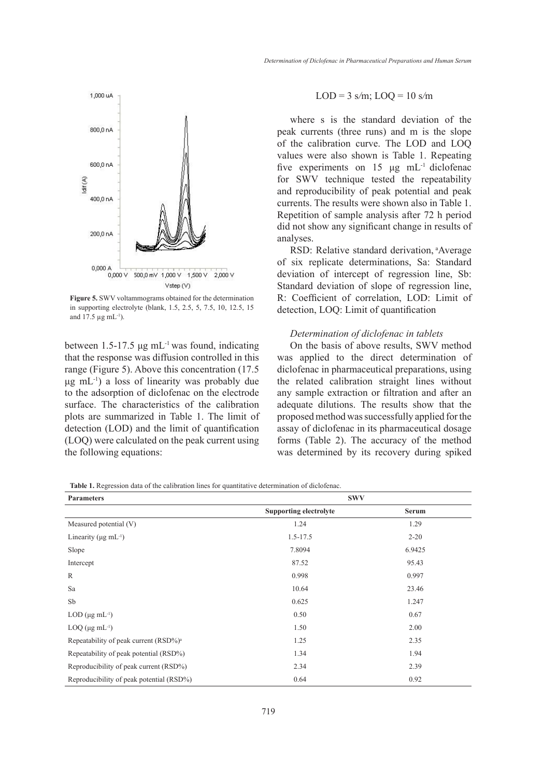

**Figure 5.** SWV voltammograms obtained for the determination in supporting electrolyte (blank, 1.5, 2.5, 5, 7.5, 10, 12.5, 15 and  $17.5 \,\mu g \, \text{mL}^{-1}$ ).

between 1.5-17.5  $\mu$ g mL<sup>-1</sup> was found, indicating that the response was diffusion controlled in this range (Figure 5). Above this concentration (17.5 μg mL-1) a loss of linearity was probably due to the adsorption of diclofenac on the electrode surface. The characteristics of the calibration plots are summarized in Table 1. The limit of detection (LOD) and the limit of quantification (LOQ) were calculated on the peak current using the following equations:

#### LOD = 3 s*/*m; LOQ = 10 s*/*m

where s is the standard deviation of the peak currents (three runs) and m is the slope of the calibration curve. The LOD and LOQ values were also shown is Table 1. Repeating five experiments on 15  $\mu$ g mL<sup>-1</sup> diclofenac for SWV technique tested the repeatability and reproducibility of peak potential and peak currents. The results were shown also in Table 1. Repetition of sample analysis after 72 h period did not show any significant change in results of analyses.

RSD: Relative standard derivation, <sup>a</sup>Average of six replicate determinations, Sa: Standard deviation of intercept of regression line, Sb: Standard deviation of slope of regression line, R: Coefficient of correlation, LOD: Limit of detection, LOQ: Limit of quantification

## *Determination of diclofenac in tablets*

On the basis of above results, SWV method was applied to the direct determination of diclofenac in pharmaceutical preparations, using the related calibration straight lines without any sample extraction or filtration and after an adequate dilutions. The results show that the proposed method was successfully applied for the assay of diclofenac in its pharmaceutical dosage forms (Table 2). The accuracy of the method was determined by its recovery during spiked

**Table 1.** Regression data of the calibration lines for quantitative determination of diclofenac.

| <b>Parameters</b>                                 | <b>SWV</b>                    |              |  |
|---------------------------------------------------|-------------------------------|--------------|--|
|                                                   | <b>Supporting electrolyte</b> | <b>Serum</b> |  |
| Measured potential (V)                            | 1.24                          | 1.29         |  |
| Linearity ( $\mu$ g mL <sup>-1</sup> )            | $1.5 - 17.5$                  | $2 - 20$     |  |
| Slope                                             | 7.8094                        | 6.9425       |  |
| Intercept                                         | 87.52                         | 95.43        |  |
| $\mathbb{R}$                                      | 0.998                         | 0.997        |  |
| Sa                                                | 10.64                         | 23.46        |  |
| Sb                                                | 0.625                         | 1.247        |  |
| $LOD$ (µg mL <sup>-1</sup> )                      | 0.50                          | 0.67         |  |
| $LOQ$ ( $\mu$ g mL <sup>-1</sup> )                | 1.50                          | 2.00         |  |
| Repeatability of peak current (RSD%) <sup>a</sup> | 1.25                          | 2.35         |  |
| Repeatability of peak potential (RSD%)            | 1.34                          | 1.94         |  |
| Reproducibility of peak current (RSD%)            | 2.34                          | 2.39         |  |
| Reproducibility of peak potential (RSD%)          | 0.64                          | 0.92         |  |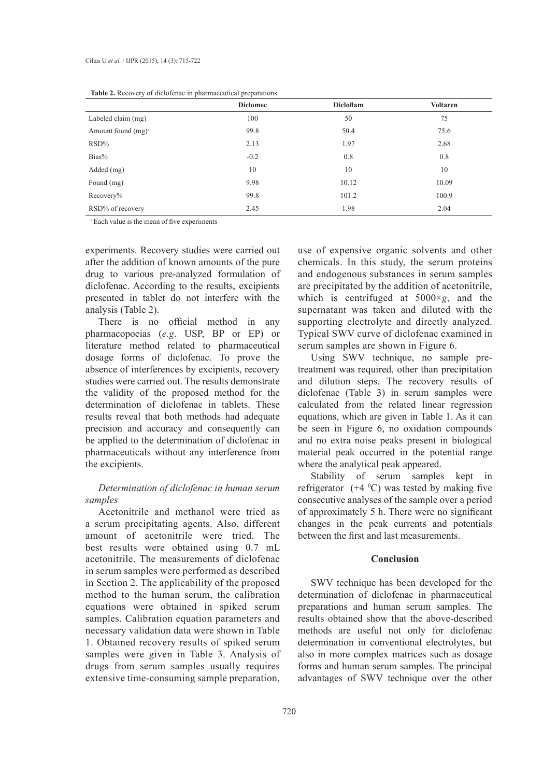|                       | <b>Diclomec</b> | Dicloflam | <b>Voltaren</b> |
|-----------------------|-----------------|-----------|-----------------|
| Labeled claim (mg)    | 100             | 50        | 75              |
| Amount found $(mg)^a$ | 99.8            | 50.4      | 75.6            |
| $RSD\%$               | 2.13            | 1.97      | 2.68            |
| Bias%                 | $-0.2$          | 0.8       | 0.8             |
| Added (mg)            | 10              | 10        | 10              |
| Found (mg)            | 9.98            | 10.12     | 10.09           |
| Recovery%             | 99.8            | 101.2     | 100.9           |
| RSD% of recovery      | 2.45            | 1.98      | 2.04            |

<sup>a</sup>Each value is the mean of five experiments

experiments. Recovery studies were carried out after the addition of known amounts of the pure drug to various pre-analyzed formulation of diclofenac. According to the results, excipients presented in tablet do not interfere with the analysis (Table 2).

There is no official method in any pharmacopoeias (*e.g*. USP, BP or EP) or literature method related to pharmaceutical dosage forms of diclofenac. To prove the absence of interferences by excipients, recovery studies were carried out. The results demonstrate the validity of the proposed method for the determination of diclofenac in tablets. These results reveal that both methods had adequate precision and accuracy and consequently can be applied to the determination of diclofenac in pharmaceuticals without any interference from the excipients.

# *Determination of diclofenac in human serum samples*

Acetonitrile and methanol were tried as a serum precipitating agents. Also, different amount of acetonitrile were tried. The best results were obtained using 0.7 mL acetonitrile. The measurements of diclofenac in serum samples were performed as described in Section 2. The applicability of the proposed method to the human serum, the calibration equations were obtained in spiked serum samples. Calibration equation parameters and necessary validation data were shown in Table 1. Obtained recovery results of spiked serum samples were given in Table 3. Analysis of drugs from serum samples usually requires extensive time-consuming sample preparation, use of expensive organic solvents and other chemicals. In this study, the serum proteins and endogenous substances in serum samples are precipitated by the addition of acetonitrile, which is centrifuged at 5000×*g*, and the supernatant was taken and diluted with the supporting electrolyte and directly analyzed. Typical SWV curve of diclofenac examined in serum samples are shown in Figure 6.

Using SWV technique, no sample pretreatment was required, other than precipitation and dilution steps. The recovery results of diclofenac (Table 3) in serum samples were calculated from the related linear regression equations, which are given in Table 1. As it can be seen in Figure 6, no oxidation compounds and no extra noise peaks present in biological material peak occurred in the potential range where the analytical peak appeared.

Stability of serum samples kept in refrigerator  $(+4 \degree C)$  was tested by making five consecutive analyses of the sample over a period of approximately 5 h. There were no significant changes in the peak currents and potentials between the first and last measurements.

# **Conclusion**

SWV technique has been developed for the determination of diclofenac in pharmaceutical preparations and human serum samples. The results obtained show that the above-described methods are useful not only for diclofenac determination in conventional electrolytes, but also in more complex matrices such as dosage forms and human serum samples. The principal advantages of SWV technique over the other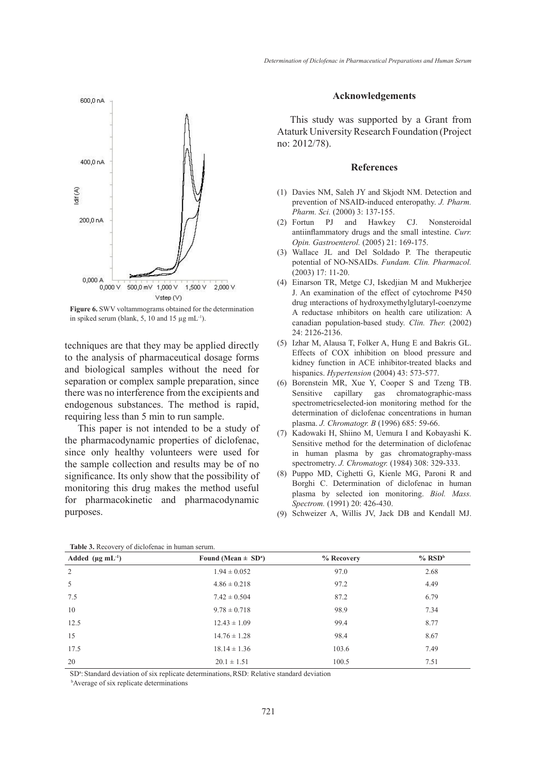

**Figure 6.** SWV voltammograms obtained for the determination in spiked serum (blank, 5, 10 and 15  $\mu$ g mL<sup>-1</sup>).

techniques are that they may be applied directly to the analysis of pharmaceutical dosage forms and biological samples without the need for separation or complex sample preparation, since there was no interference from the excipients and endogenous substances. The method is rapid, requiring less than 5 min to run sample.

This paper is not intended to be a study of the pharmacodynamic properties of diclofenac, since only healthy volunteers were used for the sample collection and results may be of no significance. Its only show that the possibility of monitoring this drug makes the method useful for pharmacokinetic and pharmacodynamic purposes.

## **Acknowledgements**

This study was supported by a Grant from Ataturk University Research Foundation (Project no: 2012/78).

#### **References**

- (1) Davies NM, Saleh JY and Skjodt NM. Detection and prevention of NSAID-induced enteropathy. *J. Pharm. Pharm. Sci.* (2000) 3: 137-155.
- Fortun PJ and Hawkey CJ. Nonsteroidal (2) antiinflammatory drugs and the small intestine. *Curr. Opin. Gastroenterol.* (2005) 21: 169-175.
- Wallace JL and Del Soldado P. The therapeutic (3) potential of NO-NSAIDs. *Fundam. Clin. Pharmacol.*  $(2003)$  17: 11-20.
- Einarson TR, Metge CJ, Iskedjian M and Mukherjee (4) J. An examination of the effect of cytochrome P450 drug ınteractions of hydroxymethylglutaryl-coenzyme A reductase ınhibitors on health care utilization: A canadian population-based study. *Clin. Ther.* (2002) 24: 2126-2136.
- (5) Izhar M, Alausa T, Folker A, Hung E and Bakris GL. Effects of COX inhibition on blood pressure and kidney function in ACE inhibitor-treated blacks and hispanics. *Hypertension* (2004) 43: 573-577.
- Borenstein MR, Xue Y, Cooper S and Tzeng TB. (6) Sensitive capillary gas chromatographic-mass spectrometricselected-ion monitoring method for the determination of diclofenac concentrations in human plasma. *J. Chromatogr. B* (1996) 685: 59-66.
- (7) Kadowaki H, Shiino M, Uemura I and Kobayashi K. Sensitive method for the determination of diclofenac in human plasma by gas chromatography-mass spectrometry. *J. Chromatogr.* (1984) 308: 329-333.
- Puppo MD, Cighetti G, Kienle MG, Paroni R and (8) Borghi C. Determination of diclofenac in human plasma by selected ion monitoring. *Biol. Mass. Spectrom.* (1991) 20: 426-430.
- (9) Schweizer A, Willis JV, Jack DB and Kendall MJ.

| <b>Table 5.</b> Necovery of dictorent of in human serum. |                                     |            |                      |  |
|----------------------------------------------------------|-------------------------------------|------------|----------------------|--|
| Added $(\mu g \, mL^{-1})$                               | Found (Mean $\pm$ SD <sup>a</sup> ) | % Recovery | $%$ RSD <sup>b</sup> |  |
| 2                                                        | $1.94 \pm 0.052$                    | 97.0       | 2.68                 |  |
| 5                                                        | $4.86 \pm 0.218$                    | 97.2       | 4.49                 |  |
| 7.5                                                      | $7.42 \pm 0.504$                    | 87.2       | 6.79                 |  |
| 10                                                       | $9.78 \pm 0.718$                    | 98.9       | 7.34                 |  |
| 12.5                                                     | $12.43 \pm 1.09$                    | 99.4       | 8.77                 |  |
| 15                                                       | $14.76 \pm 1.28$                    | 98.4       | 8.67                 |  |
| 17.5                                                     | $18.14 \pm 1.36$                    | 103.6      | 7.49                 |  |
| 20                                                       | $20.1 \pm 1.51$                     | 100.5      | 7.51                 |  |

**Table 3.** Recovery of diclofenac in human serum.

SD<sup>a</sup>: Standard deviation of six replicate determinations, RSD: Relative standard deviation bAverage of six replicate determinations